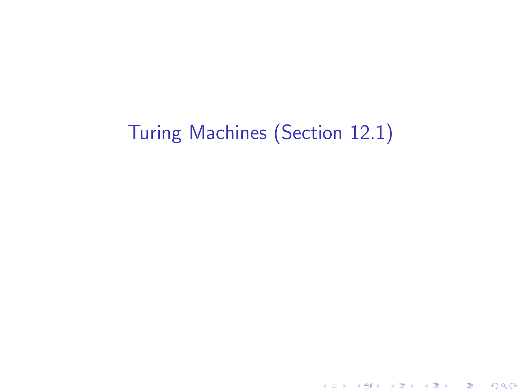# Turing Machines (Section 12.1)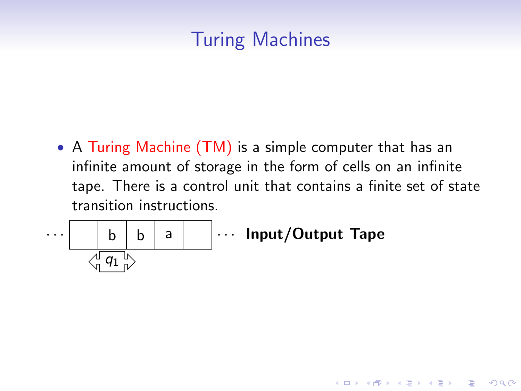# Turing Machines

• A Turing Machine (TM) is a simple computer that has an infinite amount of storage in the form of cells on an infinite tape. There is a control unit that contains a finite set of state transition instructions.

K ロ ▶ K @ ▶ K 할 > K 할 > 1 할 > 1 이익어

$$
\cdots \qquad \qquad \boxed{\qquad b \quad b \quad a \qquad } \cdots \quad \text{Input/Output~ Tape}
$$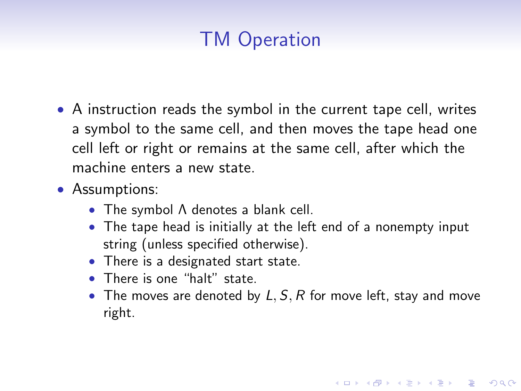# TM Operation

- A instruction reads the symbol in the current tape cell, writes a symbol to the same cell, and then moves the tape head one cell left or right or remains at the same cell, after which the machine enters a new state.
- Assumptions:
	- The symbol Λ denotes a blank cell.
	- The tape head is initially at the left end of a nonempty input string (unless specified otherwise).
	- There is a designated start state.
	- There is one "halt" state.
	- The moves are denoted by  $L, S, R$  for move left, stay and move right.

4 D > 4 P + 4 B + 4 B + B + 9 Q O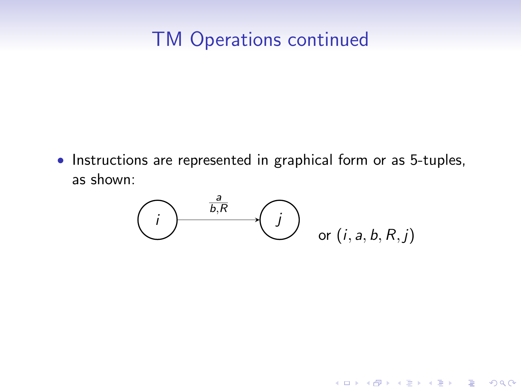# TM Operations continued

• Instructions are represented in graphical form or as 5-tuples, as shown:



K ロ ▶ K @ ▶ K 할 > K 할 > 1 할 > 1 이익어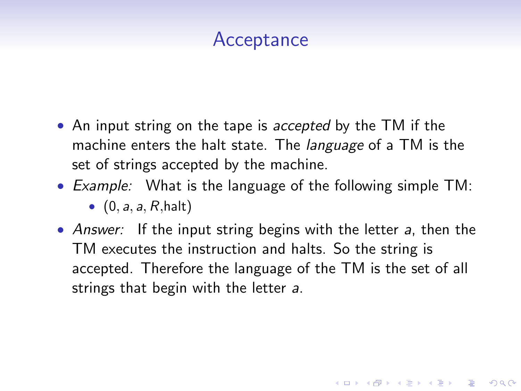# Acceptance

- An input string on the tape is *accepted* by the TM if the machine enters the halt state. The *language* of a TM is the set of strings accepted by the machine.
- Example: What is the language of the following simple TM:

 $\bullet$   $(0, a, a, R, \text{halt})$ 

• Answer: If the input string begins with the letter a, then the TM executes the instruction and halts. So the string is accepted. Therefore the language of the TM is the set of all strings that begin with the letter a.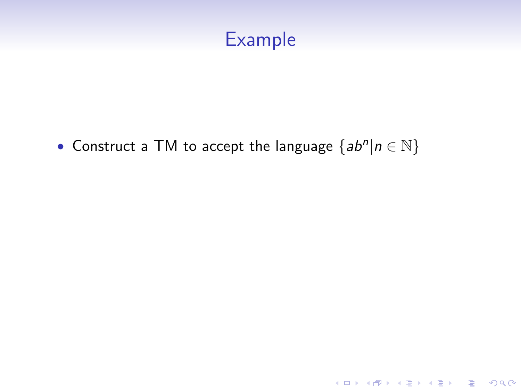

• Construct a TM to accept the language  $\{ab^n | n \in \mathbb{N}\}\$ 

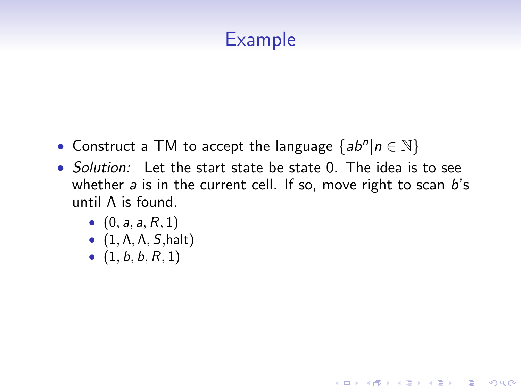# Example

- Construct a TM to accept the language  $\{ab^n | n \in \mathbb{N}\}\$
- Solution: Let the start state be state 0. The idea is to see whether  $a$  is in the current cell. If so, move right to scan  $b$ 's until Λ is found.

- $(0, a, a, R, 1)$
- $\bullet$   $(1, \Lambda, \Lambda, S, \text{halt})$
- $(1, b, b, R, 1)$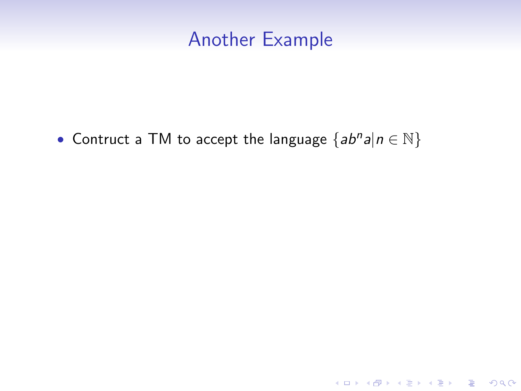#### Another Example

イロト イ御 トイミト イミト ニミー りんぴ

• Contruct a TM to accept the language  ${ab^n a | n \in \mathbb{N}}$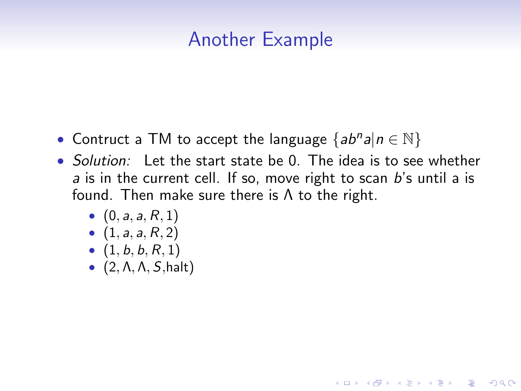### Another Example

- Contruct a TM to accept the language  ${ab^n a | n \in \mathbb{N}}$
- Solution: Let the start state be 0. The idea is to see whether a is in the current cell. If so, move right to scan b's until a is found. Then make sure there is  $\Lambda$  to the right.

- $(0, a, a, R, 1)$
- $(1, a, a, R, 2)$
- $(1, b, b, R, 1)$
- $\bullet$  (2,  $\Lambda$ ,  $\Lambda$ ,  $S$ , halt)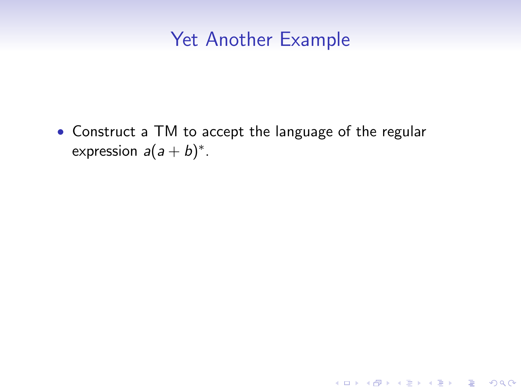### Yet Another Example

• Construct a TM to accept the language of the regular expression  $a(a + b)^*$ .

K ロ ▶ K @ ▶ K 할 > K 할 > 1 할 > 1 ⊙ Q Q ^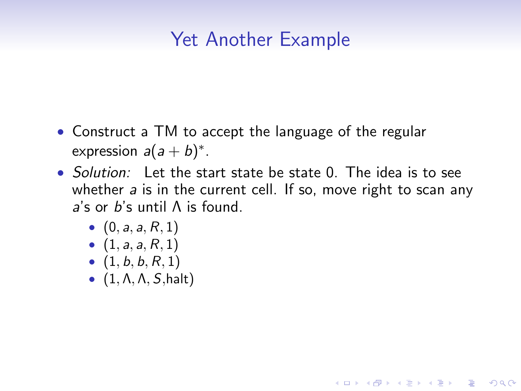## Yet Another Example

- Construct a TM to accept the language of the regular expression  $a(a + b)^*$ .
- Solution: Let the start state be state 0. The idea is to see whether a is in the current cell. If so, move right to scan any a's or b's until Λ is found.

- $(0, a, a, R, 1)$
- $(1, a, a, R, 1)$
- $(1, b, b, R, 1)$
- $\bullet$   $(1, \Lambda, \Lambda, S, \text{halt})$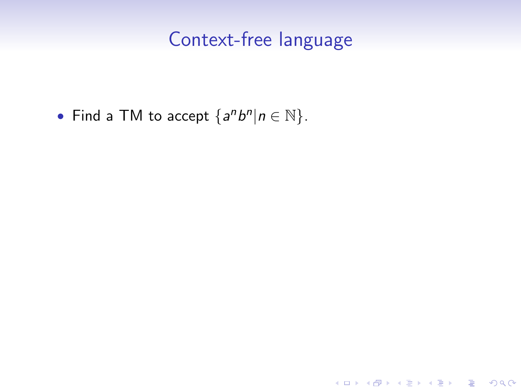### Context-free language

K ロ ▶ K @ ▶ K 할 ▶ K 할 ▶ | 할 | ⊙Q @

• Find a TM to accept  $\{a^n b^n | n \in \mathbb{N}\}.$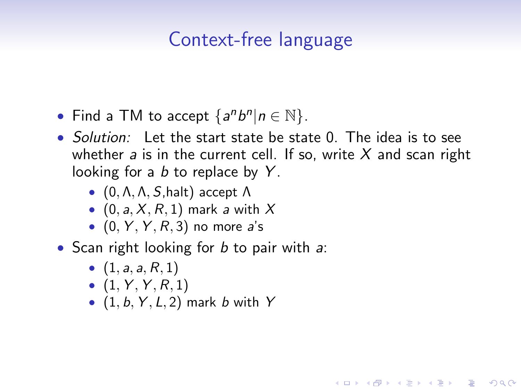## Context-free language

- Find a TM to accept  $\{a^n b^n | n \in \mathbb{N}\}.$
- Solution: Let the start state be state 0. The idea is to see whether a is in the current cell. If so, write  $X$  and scan right looking for a  $b$  to replace by  $Y$ .

4 0 > 4 4 + 4 3 + 4 3 + 5 + 9 4 0 +

- $(0, \Lambda, \Lambda, S, \text{halt})$  accept  $\Lambda$
- $(0, a, X, R, 1)$  mark a with X
- $\bullet$  (0, Y, Y, R, 3) no more a's
- Scan right looking for  $b$  to pair with  $a$ :
	- $(1, a, a, R, 1)$
	- $(1, Y, Y, R, 1)$
	- $(1, b, Y, L, 2)$  mark b with Y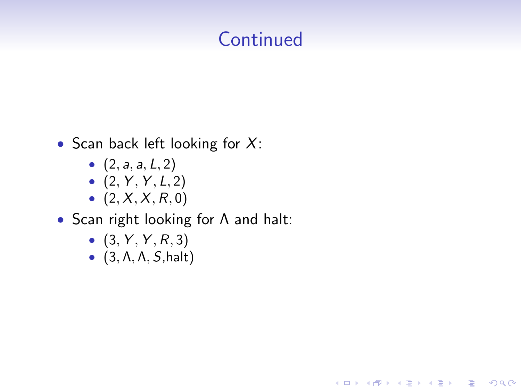# **Continued**

- Scan back left looking for  $X$ :
	- $(2, a, a, L, 2)$
	- $(2, Y, Y, L, 2)$
	- $(2, X, X, R, 0)$
- Scan right looking for Λ and halt:
	- $(3, Y, Y, R, 3)$
	- $\bullet$  (3,  $\Lambda$ ,  $\Lambda$ ,  $S$ , halt)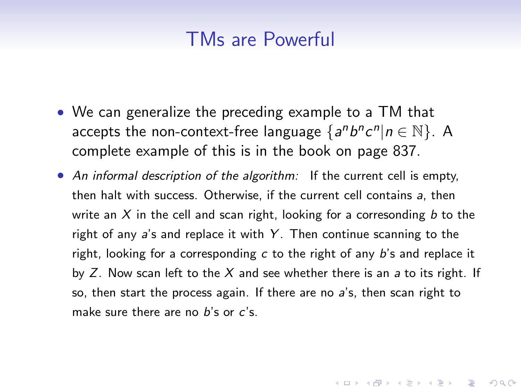#### TMs are Powerful

- We can generalize the preceding example to a TM that accepts the non-context-free language  $\{a^n b^n c^n | n \in \mathbb{N}\}$ . A complete example of this is in the book on page 837.
- An informal description of the algorithm: If the current cell is empty, then halt with success. Otherwise, if the current cell contains a, then write an  $X$  in the cell and scan right, looking for a corresonding  $b$  to the right of any  $a$ 's and replace it with  $Y$ . Then continue scanning to the right, looking for a corresponding  $c$  to the right of any  $b$ 's and replace it by  $Z$ . Now scan left to the  $X$  and see whether there is an  $a$  to its right. If so, then start the process again. If there are no a's, then scan right to make sure there are no  $b$ 's or  $c$ 's.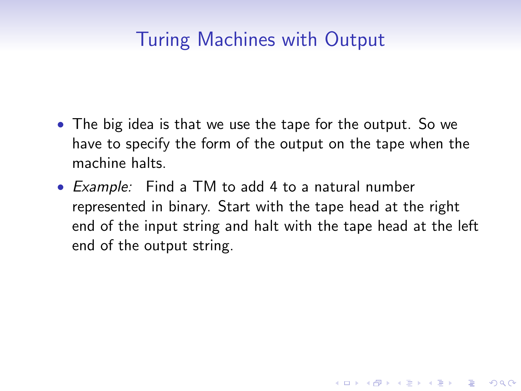## Turing Machines with Output

- The big idea is that we use the tape for the output. So we have to specify the form of the output on the tape when the machine halts.
- Example: Find a TM to add 4 to a natural number represented in binary. Start with the tape head at the right end of the input string and halt with the tape head at the left end of the output string.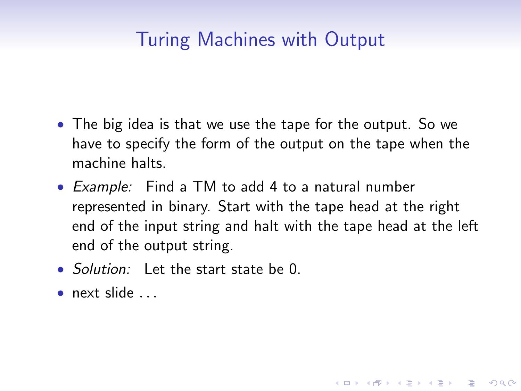# Turing Machines with Output

- The big idea is that we use the tape for the output. So we have to specify the form of the output on the tape when the machine halts.
- Example: Find a TM to add 4 to a natural number represented in binary. Start with the tape head at the right end of the input string and halt with the tape head at the left end of the output string.

- Solution: Let the start state be 0.
- $\bullet$  next slide  $\bullet$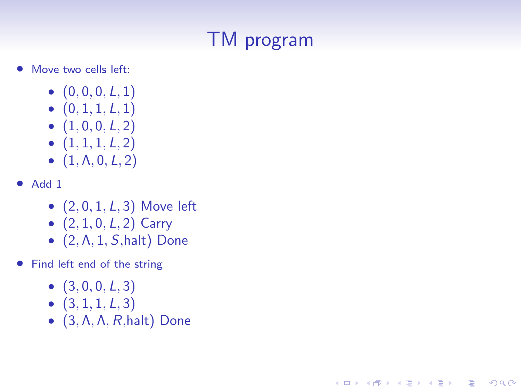# TM program

**KORK STRAIN A BAR SHOP** 

- Move two cells left:
	- $(0, 0, 0, L, 1)$
	- $(0, 1, 1, L, 1)$
	- $(1, 0, 0, L, 2)$
	- $(1, 1, 1, L, 2)$
	- $(1, \Lambda, 0, L, 2)$
- Add 1
	- $(2, 0, 1, L, 3)$  Move left
	- $(2, 1, 0, L, 2)$  Carry
	- $\bullet$  (2,  $\Lambda$ , 1,  $S$ , halt) Done
- Find left end of the string
	- $(3, 0, 0, L, 3)$
	- $(3, 1, 1, L, 3)$
	- $\bullet$  (3,  $\Lambda$ ,  $\Lambda$ ,  $R$ , halt) Done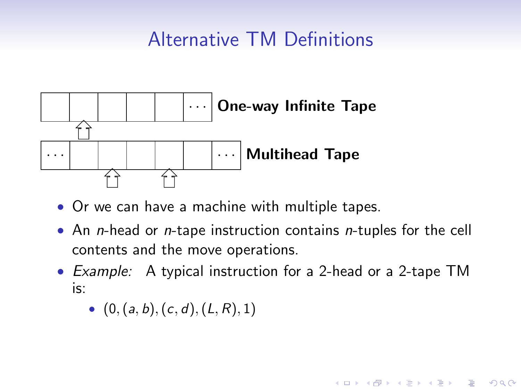# Alternative TM Definitions



- Or we can have a machine with multiple tapes.
- An *n*-head or *n*-tape instruction contains *n*-tuples for the cell contents and the move operations.
- Example: A typical instruction for a 2-head or a 2-tape TM is:

**KORK ERKER ADE YOUR** 

•  $(0, (a, b), (c, d), (L, R), 1)$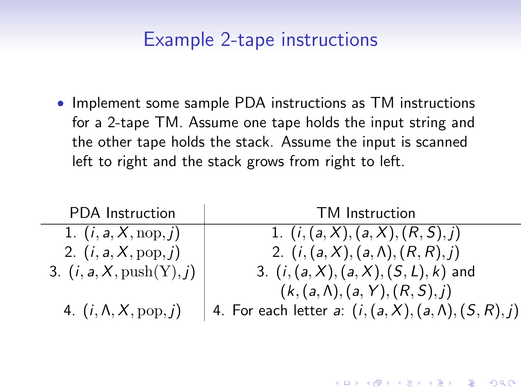#### Example 2-tape instructions

• Implement some sample PDA instructions as TM instructions for a 2-tape TM. Assume one tape holds the input string and the other tape holds the stack. Assume the input is scanned left to right and the stack grows from right to left.

| <b>PDA</b> Instruction              | TM Instruction                                               |
|-------------------------------------|--------------------------------------------------------------|
| 1. $(i, a, X, \text{nop}, j)$       | 1. $(i, (a, X), (a, X), (R, S), j)$                          |
| 2. $(i, a, X, pop, j)$              | 2. $(i, (a, X), (a, \Lambda), (R, R), j)$                    |
| 3. $(i, a, X, \text{push}(Y), j)$   | 3. $(i, (a, X), (a, X), (S, L), k)$ and                      |
|                                     | $(k, (a, \Lambda), (a, Y), (R, S), j)$                       |
| 4. $(i, \Lambda, X, \text{pop}, j)$ | 4. For each letter a: $(i, (a, X), (a, \Lambda), (S, R), j)$ |

**K ロ ▶ K @ ▶ K 할 X X 할 X → 할 X → 9 Q Q ^**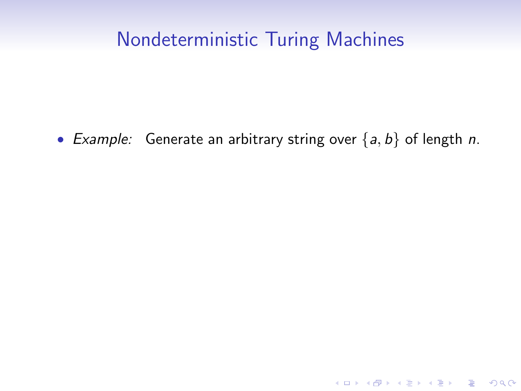### Nondeterministic Turing Machines

• Example: Generate an arbitrary string over  $\{a, b\}$  of length n.

K ロ K K (P) K (E) K (E) X (E) X (P) K (P)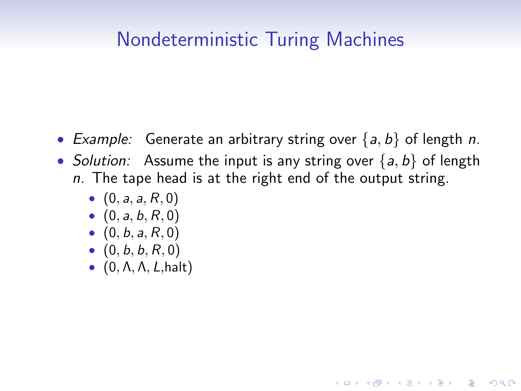### Nondeterministic Turing Machines

- Example: Generate an arbitrary string over  $\{a, b\}$  of length n.
- Solution: Assume the input is any string over  $\{a, b\}$  of length  $n.$  The tape head is at the right end of the output string.

- $(0, a, a, R, 0)$
- $(0, a, b, R, 0)$
- $(0, b, a, R, 0)$
- $(0, b, b, R, 0)$
- $\bullet$  (0,  $\Lambda$ ,  $\Lambda$ ,  $L$ , halt)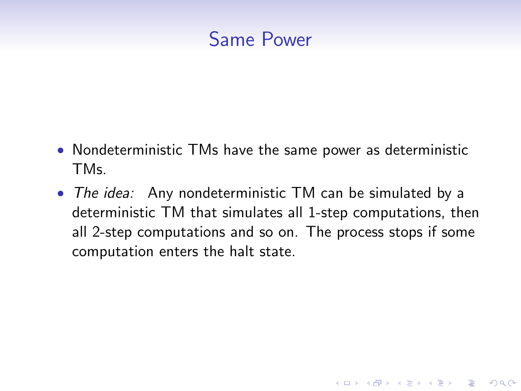### Same Power

- Nondeterministic TMs have the same power as deterministic TMs.
- The idea: Any nondeterministic TM can be simulated by a deterministic TM that simulates all 1-step computations, then all 2-step computations and so on. The process stops if some computation enters the halt state.

**KORKA SERKER ORA**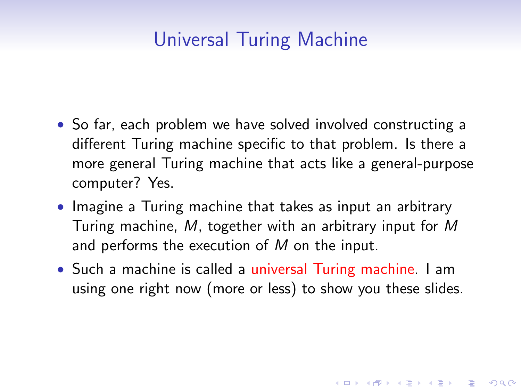# Universal Turing Machine

- So far, each problem we have solved involved constructing a different Turing machine specific to that problem. Is there a more general Turing machine that acts like a general-purpose computer? Yes.
- Imagine a Turing machine that takes as input an arbitrary Turing machine, M, together with an arbitrary input for M and performs the execution of M on the input.
- Such a machine is called a universal Turing machine. I am using one right now (more or less) to show you these slides.

4 D > 4 P + 4 B + 4 B + B + 9 Q O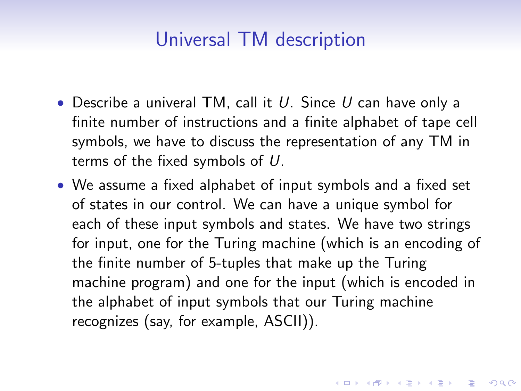### Universal TM description

- Describe a univeral TM, call it  $U$ . Since  $U$  can have only a finite number of instructions and a finite alphabet of tape cell symbols, we have to discuss the representation of any TM in terms of the fixed symbols of U.
- We assume a fixed alphabet of input symbols and a fixed set of states in our control. We can have a unique symbol for each of these input symbols and states. We have two strings for input, one for the Turing machine (which is an encoding of the finite number of 5-tuples that make up the Turing machine program) and one for the input (which is encoded in the alphabet of input symbols that our Turing machine recognizes (say, for example, ASCII)).